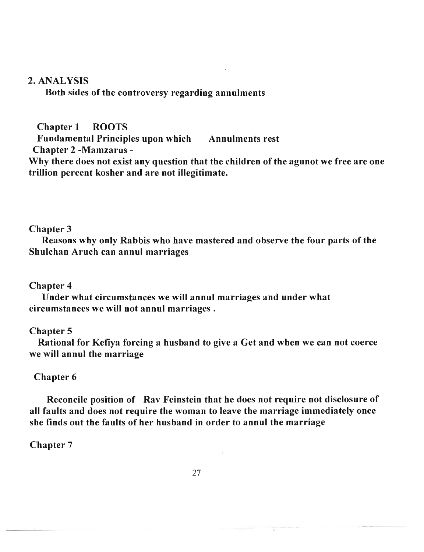# 2. ANALYSIS

. Both sides of the controversy regarding annulments

Chapter 1 ROOTS

Fundamental Principles upon which Annulments rest Chapter 2 -Mamzarus-

Why there does not exist any question that the children of the agunot we free are one trillion percent kosher and are not illegitimate.

## Chapter 3

Reasons why only Rabbis who have mastered and observe the four parts of the Shulchan Aruch can annul marriages

## Chapter 4

Under what circumstances we will annul marriages and under what circumstances we will not annul marriages.

# Chapter 5

Rational for Kefiya forcing a husband to give a Get and when we can not coerce we will annul the marriage

# Chapter 6

Reconcile position of Rav Feinstein that he does not require not disclosure of all faults and does not require the woman to leave the marriage immediately once she finds out the faults of her husband in order to annul the marriage

## Chapter 7

<sup>2</sup>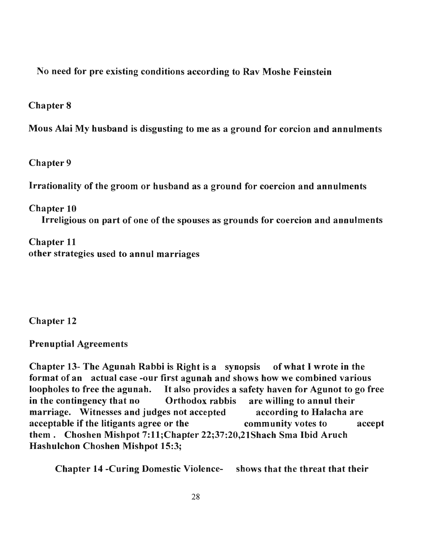No need for pre existing conditions according to Rav Moshe Feinstein

Chapter 8

Mous Alai My husband is disgusting to me as a ground for corcion and annulments

Chapter 9

Irrationality of the groom or husband as a ground for coercion and annulments

Chapter 10

Irreligious on part of one of the spouses as grounds for coercion and annulments

Chapter 11 other strategies used to annul marriages

Chapter 12

Prenuptial Agreements

Chapter 13- The Agunah Rabbi is Right is a synopsis of what I wrote in the format of an actual case -our first agunah and shows how we combined various loopholes to free the agunah. It also provides a safety haven for Agunot to go free.<br>Sopholes to free the agunoh. It also provides a safety haven for Agunot to go free. loopholes to free the agunah. It also provides a safety haven for Agunot to go free<br>in the contingency that no Orthodox rabbis are willing to annul their marriage. Witnesses and judges not accepted according to Halacha are acceptable if the litigants agree or the community votes to accept them. Choshen Mishpot 7:11;Chapter 22;37:20,21Shach Sma Ibid Aruch Hashulchon Choshen Mishpot 15:3;

Chapter 14 -Curing Domestic Violence- shows that the threat that their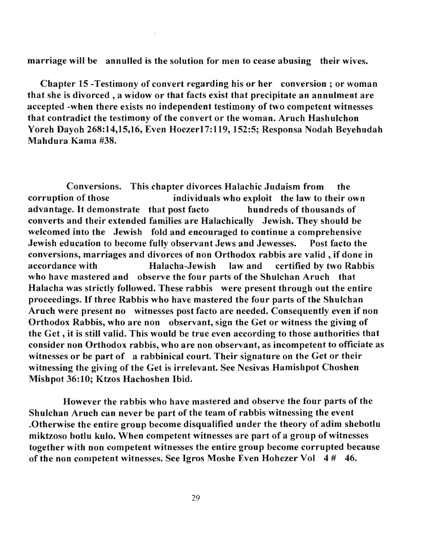## marriage will be annulled is the solution for men to cease abusing their wives.

Chapter 15 -Testimony of convert regarding his or her conversion; or woman that she is divorced, a widow or that facts exist that precipitate an annulment are accepted -when there exists no independent testimony of two competent witnesses that contradict the testimony of the convert or the woman. Aruch Hashulchon Yoreh Dayoh 268:14,15,16, Even HoezerI7:119, 152:5; Responsa Nodah Beyehudah Mahdura Kama #38.

Conversions. This chapter divorces Halachic Judaism from the corruption of those individuals who exploit the law to their own advantage. It demonstrate that post facto hundreds of thousands of converts and their extended families are Halachically Jewish. They should be welcomed into the Jewish fold and encouraged to continue a comprehensive Jewish education to become fully observant Jews and Jewesses. Post facto the conversions, marriages and divorces of non Orthodox rabbis are valid, if done in accordance with Halacha-Jewish law and certified by two Rabbis who have mastered and observe the four parts of the Shulchan Aruch that Halacha was strictly followed. These rabbis were present through out the entire proceedings. If three Rabbis who have mastered the four parts of the Shulchan Aruch were present no witnesses post facto are needed. Consequently even if non Orthodox Rabbis, who are non observant, sign the Get or witness the giving of the Get, it is still valid. This would be true even according to those authorities that consider non Orthodox rabbis, who are non observant, as incompetent to officiate as witnesses or be part of a rabbinical court. Their signature on the Get or their witnessing the giving of the Get is irrelevant. See Nesivas Hamishpot Choshen Mishpot 36:10; Ktzos Hachoshen Ibid.

However the rabbis who have mastered and observe the four parts of the Shulchan Aruch can never be part of the team of rabbis witnessing the event .Otherwise the entire group become disqualified under the theory of adim shebotlu miktzoso botlu kulo. When competent witnesses are part of a group of witnesses together with non competent witnesses the entire group become corrupted because of the non competent witnesses. See Igros Moshe Even Hohezer Vol 4 # 46.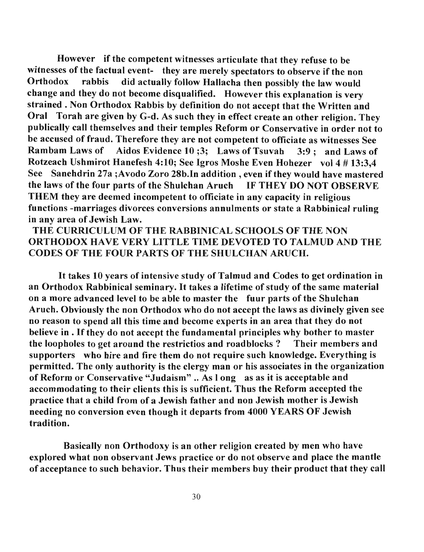However if the competent witnesses articulate that they refuse to be riowever in the competent witnesses articulate that they refuse to be  $\alpha$  rabbis did actual event they are merely speciators to observe if the non-Orthodox rabbis did actually follow Hallacha then possibly the law would<br>change and they do not become disqualified. However this explanation is very strained. None  $\Omega$  definition does also accepted. However this explanation is very  $\alpha$  ane  $\alpha$ . Non-Orthodox Raddis by definition do not accept that the written and  $\alpha$ . There is no other religion. They in equal the such that  $\alpha$ Oral Torah are given by G-d. As such they in effect create an other religion. They publically call themselves and their temples Reform or Conservative in order not to be accused of fraud. Therefore the notice the more than the conservative in order not to  $R$  accused of Iraud. Therefore they are not competent to officiate as witnesses see  $R = \frac{R}{\text{max}}$  ambam Laws of Andois Evidence IV; See Igros of Isuvan  $\frac{3.3}{2}$ ; and Laws of  $S_{\text{sc}}$  Summot Hanelesh 4:10; see igros mosne even Honezer vol 4  $\#$  15:5,4 See Sanehdrin 27a; Avodo Zoro 28b. In addition, even if they would have mastered the laws of the four parts of the Shulchan Aruch IF THEY DO NOT OBSERVE  $T_{\text{H}}$  are defined incompetent to official their incompetent to order than  $T_{\text{H}}$  in religious in religious in religious in religious in religious in religious in religious in religious in religious in religious in fulctivial they are deemed incompetent to officiate in any capacity in religious  $R$ functions -marriages divorces conversions annulments or state a Rabbinical ruling<br>in any area of Jewish Law.

# THE CURRICULUM OF THE RABBINICAL SCHOOLS OF THE NON . HE CUKKICULUM OF THE KABBINICAL SCHOOLS OF THE NON<br>DEVODOX HAVE VERY LIETUE E TIME DEVOTED TO TALMUD AND THE KI HUDUA HAVE VEKY LITTLE TIME DEVOTED TO TALM<br>ODES OF THE FOUR RADGE OF THE SHULCHAN ARUCH.

It takes  $\mathcal{L}$  the study of  $\mathcal{L}$  of  $\mathcal{L}$  and  $\mathcal{L}$  and  $\mathcal{L}$  and  $\mathcal{L}$  intensive in It takes 10 years of intensive study of Talmud and Codes to get ordination in an Orthodox Rabbinical seminary. It takes a lifetime of study of the same material on a more advanced level to be able to master the fuur parts of the Shulchan Aruch. Obviously the non Orthodox who do not accept the laws as divinely given see no reason to spend all this time and become experts in an area that they do not believe in . If they do not accept the fundamental principles why bother to master<br>the loopholes to get around the restrictios and roadblocks? Their members and e loopholes to get around the restrictios and roadblocks: Their members and pporters who hire and tire them do not require such knowledge. Everything is permitted. The only authority is the clergy man or his associates in the organization of Reform or Conservative "Judaism". As l ong as as it is acceptable and accommodating to their clients this is sufficient. Thus the Reform accepted the practice that a child from of a Jewish father and non Jewish mother is Jewish needing no conversion even though it departs from 4000 YEARS OF Jewish<br>tradition.

Basically non Orthodoxy is an other religion created by men who have Basically non Orthodoxy is an other religion created by men who have explored what non observant Jews practice or do not observe and place the mantle<br>of acceptance to such behavior. Thus their members buy their product that they call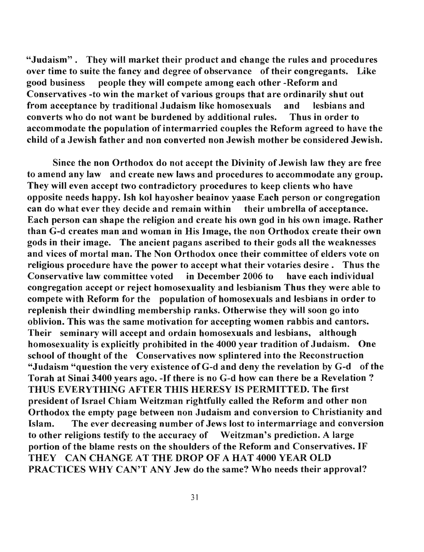"Judaism". They will market their product and change the rules and procedures over time to suite the fancy and degree of observance of their congregants. Like good business people they will compete among each other -Reform and Conservatives -to win the market of various groups that are ordinarily shut out from acceptance by traditional Judaism like homosexuals and lesbians and converts who do not want be burdened by additional rules. Thus in order to accommodate the population of intermarried couples the Reform agreed to have the child of a Jewish father and non converted non Jewish mother be considered Jewish.

Since the non Orthodox do not accept the Divinity of Jewish law they are free to amend any law and create new laws and procedures to accommodate any group. They will even accept two contradictory procedures to keep clients who have opposite needs happy. Ish kol hayosher beainov yaase Each person or congregation can do what ever they decide and remain within their umbrella of acceptance. Each person can shape the religion and create his own god in his own image. Rather than G-d creates man and woman in His Image, the non Orthodox create their own gods in their image. The ancient pagans ascribed to their gods all the weaknesses and vices of mortal man. The Non Orthodox once their committee of elders vote on religious procedure have the power to accept what their votaries desire. Thus the Conservative law committee voted in December 2006 to have each individual congregation accept or reject homosexuality and lesbianism Thus they were able to compete with Reform for the population of homosexuals and lesbians in order to replenish their dwindling membership ranks. Otherwise they will soon go into oblivion. This was the same motivation for accepting women rabbis and cantors. Their seminary will accept and ordain homosexuals and lesbians, although homosexuality is explicitly prohibited in the 4000 year tradition of Judaism. One school of thought of the Conservatives now splintered into the Reconstruction "Judaism "question the very existence of  $G$ -d and deny the revelation by  $G$ -d of the Torah at Sinai 3400 years ago. -If there is no G-d how can there be a Revelation? THUS EVERYTHING AFTER THIS HERESY IS PERMITTED. The first president of Israel Chiam Weitzman rightfully called the Reform and other non Orthodox the empty page between non Judaism and conversion to Christianity and Islam. The ever decreasing number of Jews lost to intermarriage and conversion to other religions testify to the accuracy of Weitzman's prediction. A large portion of the blame rests on the shoulders of the Reform and Conservatives. IF THEY CAN CHANGE AT THE DROP OF A HAT 4000 YEAR OLD PRACTICES WHY CAN'T ANY Jew do the same? Who needs their approval?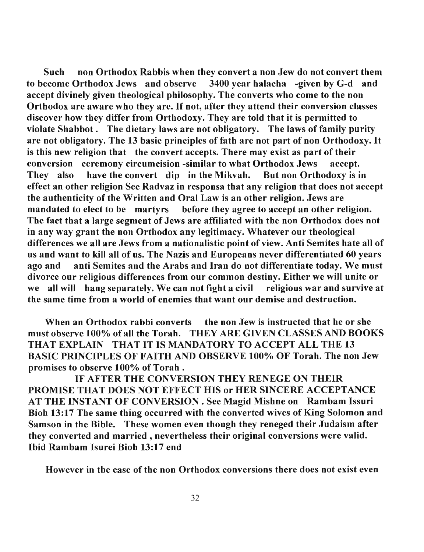Such non Orthodox Rabbis when they convert a non Jew do not convert them to become Orthodox Jews and observe 3400 year halacha -given by G-d and accept divinely given theological philosophy. The converts who come to the non Orthodox are aware who they are. If not, after they attend their conversion classes discover how they differ from Orthodoxy. They are told that it is permitted to violate Shabbot. The dietary laws are not obligatory. The laws of family purity are not obligatory. The 13 basic principles of fath are not part of non Orthodoxy. It is this new religion that the convert accepts. There may exist as part of their conversion ceremony circumcision -similar to what Orthodox Jews accept. They also have the convert dip in the Mikvah. But non Orthodoxy is in effect an other religion See Radvaz in responsa that any religion that does not accept the authenticity of the Written and Oral Law is an other religion. Jews are mandated to elect to be martyrs before they agree to accept an other religion. The fact that a large segment of Jews are affiliated with the non Orthodox does not in any way grant the non Orthodox any legitimacy. Whatever our theological differences we all are Jews from a nationalistic point of view. Anti Semites hate all of us and want to kill all of us. The Nazis and Europeans never differentiated 60 years ago and anti Semites and the Arabs and Iran do not differentiate today. We must divorce our religious differences from our common destiny. Either we will unite or we all will hang separately. We can not fight a civil religious war and survive at the same time from a world of enemies that want our demise and destruction.

When an Orthodox rabbi converts the non Jew is instructed that he or she must observe 100% of all the Torah. THEY ARE GIVEN CLASSES AND BOOKS THAT EXPLAIN THAT IT IS MANDATORY TO ACCEPT ALL THE 13 BASIC PRINCIPLES OF FAITH AND OBSERVE 100% OF Torah. The non Jew promises to observe 100% of Torah.

IF AFTER THE CONVERSION THEY RENEGE ON THEIR PROMISE THAT DOES NOT EFFECT HIS or HER SINCERE ACCEPTANCE AT THE INSTANT OF CONVERSION. See Magid Mishne on Rambam Issuri Bioh 13:17 The same thing occurred with the converted wives of King Solomon and Samson in the Bible. These women even though they reneged their Judaism after they converted and married, nevertheless their original conversions were valid. Ibid Rambam Isurei Bioh 13:17 end

However in the case of the non Orthodox conversions there does not exist even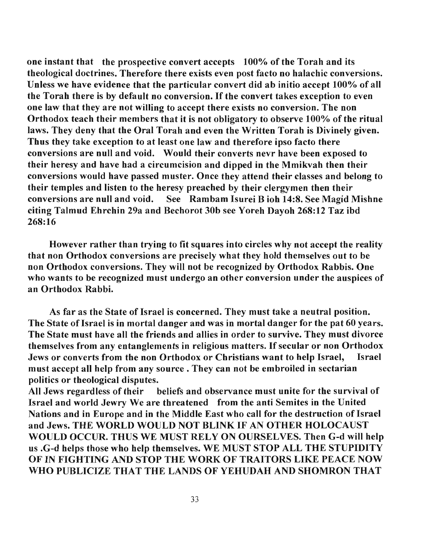one instant that the prospective convert accepts 100% of the Torah and its theological doctrines. Therefore there exists even post facto no halachic conversions. Unless we have evidence that the particular convert did ab initio accept 100%, of all the Torah there is by default no conversion. If the convert takes exception to even one law that they are not willing to accept there exists no conversion. The non Orthodox teach their members that it is not obligatory to observe 100% of the ritual laws. They deny that the Oral Torah and even the Written Torah is Divinely given. Thus they take exception to at least one law and therefore ipso facto there conversions are null and void. Would their converts nevr have been exposed to their heresy and have had a circumcision and dipped in the Mmikvah then their conversions would have passed muster. Once they attend their classes and belong to their temples and listen to the heresy preached by their clergymen then their conversions are null and void. See Rambam Isurei B ioh 14:8. See Magid Mishne citing Talmud Ehrchin 29a and Bechorot 30b see Yoreh Dayoh 268:12 Taz ibd 268:16

However rather than trying to fit squares into circles why not accept the reality that non Orthodox conversions are precisely what they hold themselves out to be non Orthodox conversions. They will not be recognized by Orthodox Rabbis. One who wants to be recognized must undergo an other conversion under the auspices of an Orthodox Rabbi.

As far as the State of Israel is concerned. They must take a neutral position. The State of Israel is in mortal danger and was in mortal danger for the pat 60 years. The State must have all the friends and allies in order to survive. They must divorce themselves from any entanglements in religious matters. If secular or non Orthodox Jews or converts from the non Orthodox or Christians want to help Israel, Israel must accept all help from any source. They can not be embroiled in sectarian politics or theological disputes.

All Jews regardless of their beliefs and observance must unite for the survival of Israel and world Jewry We are threatened from the anti Semites in the United Nations and in Europe and in the Middle East who call for the destruction of Israel and Jews. THE WORLD WOULD NOT BLINK IF AN OTHER HOLOCAUST WOULD OCCUR. THUS WE MUST RELY ON OURSELVES. Then G-d will help us .G-d helps those who help themselves. WE MUST STOP ALL THE STUPIDITY OF IN FIGHTING AND STOP THE WORK OF TRAITORS LIKE PEACE NOW WHO PUBLICIZE THAT THE LANDS OF YEHUDAH AND SHOMRON THAT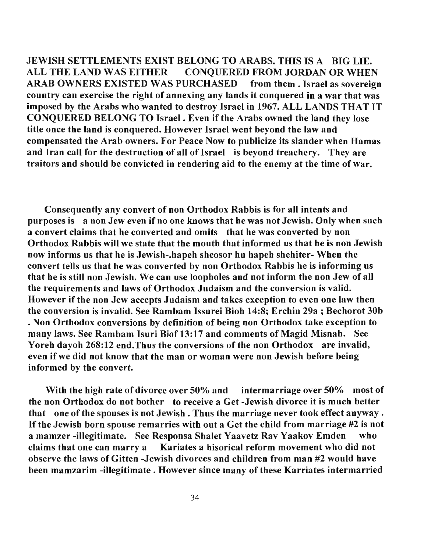JEWISH SETTLEMENTS EXIST BELONG TO ARABS. THIS IS A BIG LIE. ALL THE LAND WAS EITHER CONQUERED FROM JORDAN OR WHEN ARAB OWNERS EXISTED WAS PURCHASED from them. Israel as sovereign country can exercise the right of annexing any lands it conquered in a war that was imposed by the Arabs who wanted to destroy Israel in 1967. ALL LANDS THAT IT CONQUERED BELONG TO Israel. Even if the Arabs owned the land they lose title once the land is conquered. However Israel went beyond the law and compensated the Arab owners. For Peace Now to publicize its slander when Hamas and Iran call for the destruction of all of Israel is beyond treachery. They are traitors and should be convicted in rendering aid to the enemy at the time of war.

Consequently any convert of non Orthodox Rabbis is for all intents and purposes is a non Jew even if no one knows that he was not Jewish. Only when such a convert claims that he converted and omits that he was converted by non Orthodox Rabbis will we state that the mouth that informed us that he is non Jewish now informs us that he is Jewish-.hapeh sheosor hu hapeh shehiter- When the convert tells us that he was converted by non Orthodox Rabbis he is informing us that he is still non Jewish. We can use loopholes and not inform the non Jew of all the requirements and laws of Orthodox Judaism and the conversion is valid. However if the non Jew accepts Judaism and takes exception to even one law then the conversion is invalid. See Rambam Issurei Bioh 14:8; Erchin 29a ; Bechorot 30b . Non Orthodox conversions by definition of being non Orthodox take exception to many laws. See Rambam Isuri Biof 13:17 and comments of Magid Misnah. See Yoreh dayoh 268:12 end.Thus the conversions of the non Orthodox are invalid, even if we did not know that the man or woman were non Jewish before being informed by the convert.

With the high rate of divorce over 50% and intermarriage over 50% most of the non Orthodox do not bother to receive a Get -Jewish divorce it is much better that one of the spouses is not Jewish. Thus the marriage never took effect anyway. If the Jewish born spouse remarries with out a Get the child from marriage #2 is not a mamzer -illegitimate. See Responsa Shalet Yaavetz Rav Yaakov Emden who claims that one can marry a Kariates a hisorical reform movement who did not observe the laws of Gitten -Jewish divorces and children from man #2 would have been mamzarim -illegitimate. However since many of these Karriates intermarried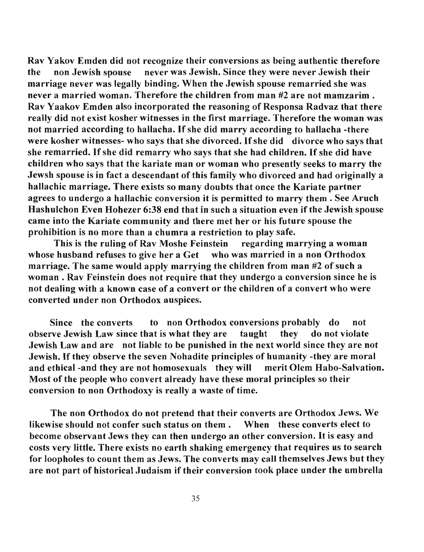Rav Yakov Emden did not recognize their conversions as being authentic therefore the non Jewish spouse never was Jewish. Since they were never Jewish their marriage never was legally binding. When the Jewish spouse remarried she was never a married woman. Therefore the children from man #2 are not mamzarim . Rav Yaakov Emden also incorporated the reasoning of Responsa Radvaz that there really did not exist kosher witnesses in the first marriage. Therefore the woman was not married according to hallacha. If she did marry according to hallacha -there were kosher witnesses- who says that she divorced. If she did divorce who says that she remarried. If she did remarry who says that she had children. If she did have children who says that the kariate man or woman who presently seeks to marry the Jewsh spouse is in fact a descendant of this family who divorced and had originally a hallachic marriage. There exists so many doubts that once the Kariate partner agrees to undergo a hallachic conversion it is permitted to marry them. See Aruch Hashulchon Even Hohezer 6:38 end that in such a situation even if the Jewish spouse came into the Kariate community and there met her or his future spouse the prohibition is no more than a chumra a restriction to play safe.

This is the ruling of Rav Moshe Feinstein regarding marrying a woman whose husband refuses to give her a Get who was married in a non Orthodox marriage. The same would apply marrying the children from man #2 of such a woman. Rav Feinstein does not require that they undergo a conversion since he is not dealing with a known case of a convert or the children of a convert who were converted under non Orthodox auspices.

Since the converts to non Orthodox conversions probably do not observe Jewish Law since that is what they are taught they do not violate Jewish Law and are not liable to be punished in the next world since they are not Jewish. If they observe the seven Nohadite principles of humanity -they are moral and ethical -and they are not homosexuals they will merit Olem Habo-Salvation. Most of the people who convert already have these moral principles so their conversion to non Orthodoxy is really a waste of time.

The non Orthodox do not pretend that their converts are Orthodox Jews. We likewise should not confer such status on them. When these converts elect to become observant Jews they can then undergo an other conversion. It is easy and costs very little. There exists no earth shaking emergency that requires us to search for loopholes to count them as Jews. The converts may call themselves Jews but they are not part of historical Judaism if their conversion took place under the umbrella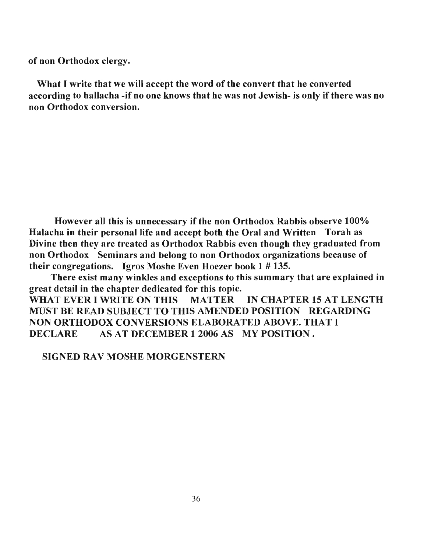of non Orthodox clergy.

What I write that we will accept the word of the convert that he converted according to hallacha -if no one knows that he was not Jewish- is only if there was no non Orthodox conversion.

However all this is unnecessary if the non Orthodox Rabbis observe 100% Halacha in their personal life and accept both the Oral and Written Torah as Divine then they are treated as Orthodox Rabbis even though they graduated from non Orthodox Seminars and belong to non Orthodox organizations because of their congregations. Igros Moshe Even Hoezer book 1 # 135.

There exist many winkles and exceptions to this summary that are explained in great detail in the chapter dedicated for this topic. WHAT EVER I WRITE ON THIS MATTER IN CHAPTER 15 AT LENGTH MUST BE READ SUBJECT TO THIS AMENDED POSITION REGARDING NON ORTHODOX CONVERSIONS ELABORATED ABOVE. THAT I DECLARE AS AT DECEMBER 1 2006 AS MY POSITION.

SIGNED RAV MOSHE MORGENSTERN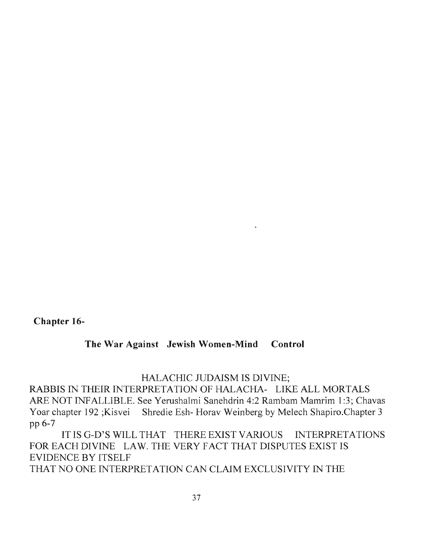**Chapter 16-**

# **The War Against Jewish Women-Mind Control**

# HALACHIC JUDAISM IS DIVINE;

RABBIS IN THEIR INTERPRETATION OF HALACHA- LIKE ALL MORTALS ARE NOT INFALLIBLE. See Yerushalmi Sanehdrin 4:2 Rambam Mamrim 1:3; Chavas Yoar chapter 192 ; Kisvei Shredie Esh- Horav Weinberg by Melech Shapiro. Chapter 3 pp 6-7

ITISG-D'S WILL THAT THERE EXIST VARIOUS INTERPRETATIONS FOR EACH DIVINE LAW. THE VERY FACT THAT DISPUTES EXIST IS EVIDENCE BY ITSELF THAT NO ONE INTERPRETATION CAN CLAIM EXCLUSIVITY IN THE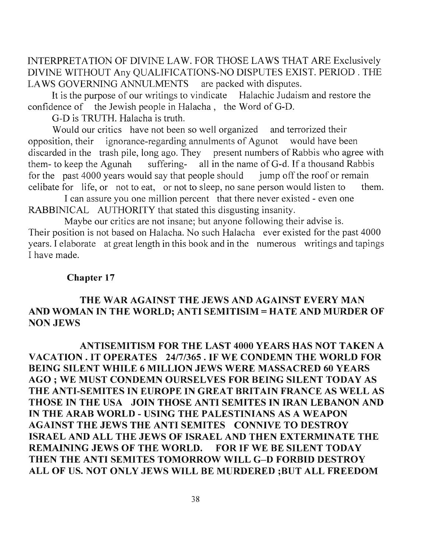INTERPRETATION OF DIVINE LAW. FOR THOSE LAWS THAT ARE Exclusively DIVINE WITHOUT Any QUALIFICATIONS-NO DISPUTES EXIST. PERIOD. THE LA WS GOVERNING ANNULMENTS are packed with disputes.

It is the purpose of our writings to vindicate Halachic Judaism and restore the confidence of the Jewish people in Halacha, the Word of G-D.

G-D is TRUTH. Halacha is truth.

Would our critics have not been so well organized and terrorized their opposition, their ignorance-regarding annulments of Agunot would have been discarded in the trash pile, long ago. They present numbers of Rabbis who agree with them- to keep the Agunah suffering- all in the name of G-d. If a thousand Rabbis for the past 4000 years would say that people should jump off the roof or remain celibate for life, or not to eat, or not to sleep, no sane person would listen to them.

I can assure you one million percent that there never existed - even one RABBINICAL AUTHORITY that stated this disgusting insanity.

Maybe our critics are not insane; but anyone following their advise is. Their position is not based on Halacha. No such Halacha ever existed for the past 4000 years. I elaborate at great length in this book and in the numerous writings and tapings I have made.

# Chapter 17

# THE WAR AGAINST THE JEWS AND AGAINST EVERY MAN AND WOMAN IN THE WORLD; ANTI SEMITISIM = HATE AND MURDER OF NON JEWS

ANTISEMITISM FOR THE LAST 4000 YEARS HAS NOT TAKEN A VACATION. IT OPERATES 24/7/365. IF WE CONDEMN THE WORLD FOR BEING SILENT WHILE 6 MILLION JEWS WERE MASSACRED 60 YEARS AGO; WE MUST CONDEMN OURSELVES FOR BEING SILENT TODAY AS THE ANTI-SEMITES IN EUROPE IN GREAT BRITAIN FRANCE AS WELL AS THOSE IN THE USA JOIN THOSE ANTI SEMITES IN IRAN LEBANON AND IN THE ARAB WORLD - USING THE PALESTINIANS AS A WEAPON AGAINST THE JEWS THE ANTI SEMITES CONNIVE TO DESTROY ISRAEL AND ALL THE JEWS OF ISRAEL AND THEN EXTERMINATE THE REMAINING JEWS OF THE WORLD. FOR IF WE BE SILENT TODAY THEN THE ANTI SEMITES TOMORROW WILL G-D FORBID DESTROY ALL OF US. NOT ONLY JEWS WILL BE MURDERED ;BUT ALL FREEDOM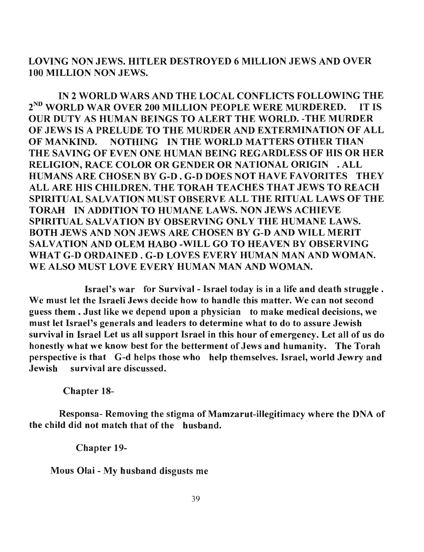LOVING NON JEWS. HITLER DESTROYED 6 MILLION JEWS AND OVER 100 MILLION NON JEWS.

IN 2 WORLD WARS AND THE LOCAL CONFLICTS FOLLOWING THE 2<sup>ND</sup> WORLD WAR OVER 200 MILLION PEOPLE WERE MURDERED. IT IS OUR DUTY AS HUMAN BEINGS TO ALERT THE WORLD. -THE MURDER OF JEWS IS A PRELUDE TO THE MURDER AND EXTERMINATION OF ALL OF MANKIND. NOTHING IN THE WORLD MATTERS OTHER THAN THE SAVING OF EVEN ONE HUMAN BEING REGARDLESS OF HIS OR HER RELIGION, RACE COLOR OR GENDER OR NATIONAL ORIGIN . ALL HUMANS ARE CHOSEN BY G-D. G-D DOES NOT HAVE FAVORITES THEY ALL ARE HIS CHILDREN. THE TORAH TEACHES THAT JEWS TO REACH SPIRITUAL SALVATION MUST OBSERVE ALL THE RITUAL LAWS OF THE TORAH IN ADDITION TO HUMANE LAWS. NON JEWS ACHIEVE SPIRITUAL SALVATION BY OBSERVING ONLY THE HUMANE LAWS. BOTH JEWS AND NON JEWS ARE CHOSEN BY G-D AND WILL MERIT SALVATION AND OLEM HABO -WILL GO TO HEAVEN BY OBSERVING WHAT G-D ORDAINED. G-D LOVES EVERY HUMAN MAN AND WOMAN. WE ALSO MUST LOVE EVERY HUMAN MAN AND WOMAN.

Israel's war for Survival- Israel today is in a life and death struggle. We must let the Israeli Jews decide how to handle this matter. We can not second guess them. Just like we depend upon a physician to make medical decisions, we must let Israel's generals and leaders to determine what to do to assure Jewish survival in Israel Let us all support Israel in this hour of emergency. Let all of us do honestly what we know best for the betterment of Jews and humanity. The Torah perspective is that G-d helps those who help themselves. Israel, world Jewry and Jewish survival are discussed.

Chapter 18-

Responsa- Removing the stigma of Mamzarut-illegitimacy where the DNA of the child did not match that of the husband.

Chapter 19-

Mous Olai - My husband disgusts me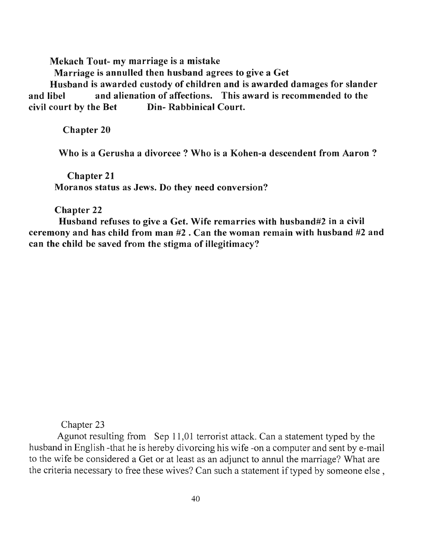Mekach Tout- my marriage is a mistake

Marriage is annulled then husband agrees to give a Get

Husband is awarded custody of children and is awarded damages for slander and libel and alienation of affections. This award is recommended to the civil court by the Bet Din- Rabbinical Court.

Chapter 20

Who is a Gerusha a divorcee? Who is a Kohen-a descendent from Aaron ?

Chapter 21 Moranos status as Jews. Do they need conversion?

Chapter 22

Husband refuses to give a Get. Wife remarries with husband#2 in a civil ceremony and has child from man #2. Can the woman remain with husband #2 and can the child be saved from the stigma of illegitimacy?

Chapter 23

Agunot resulting from Sep 11,01 terrorist attack. Can a statement typed by the husband in English -that he is hereby divorcing his wife -on a computer and sent by e-mail to the wife be considered a Get or at least as an adjunct to annul the marriage? What are the criteria necessary to free these wives? Can such a statement if typed by someone else,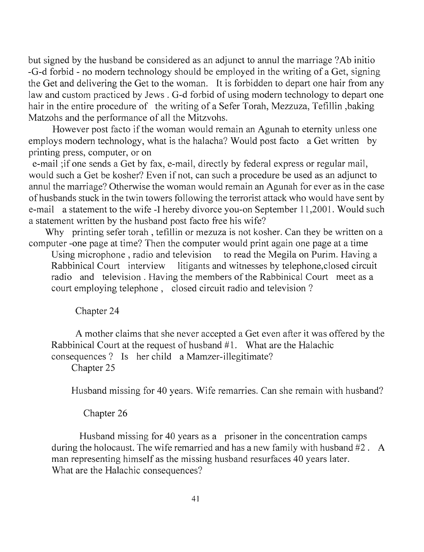but signed by the husband be considered as an adjunct to annul the marriage? Ab initio -G-d forbid - no modem technology should be employed in the writing of a Get, signing the Get and delivering the Get to the woman. It is forbidden to depart one hair from any law and custom practiced by Jews. G-d forbid of using modem technology to depart one hair in the entire procedure of the writing of a Sefer Torah, Mezzuza, Tefillin ,baking Matzohs and the performance of all the Mitzvohs.

However post facto if the woman would remain an Agunah to eternity unless one employs modem technology, what is the halacha? Would post facto a Get written by printing press, computer, or on

e-mail ;if one sends a Get by fax, e-mail, directly by federal express or regular mail, would such a Get be kosher? Even if not, can such a procedure be used as an adjunct to annul the marriage? Otherwise the woman would remain an Agunah for ever as in the case of husbands stuck in the twin towers following the terrorist attack who would have sent by e-mail a statement to the wife -I hereby divorce you-on September 11,2001. Would such a statement written by the husband post facto free his wife?

Why printing sefer torah, tefillin or mezuza is not kosher. Can they be written on a computer -one page at time? Then the computer would print again one page at a time

Using microphone, radio and television to read the Megila on Purim. Having a Rabbinical Court interview litigants and witnesses by telephone,closed circuit radio and television. Having the members of the Rabbinical Court meet as a court employing telephone, closed circuit radio and television?

## Chapter 24

A mother claims that she never accepted a Get even after it was offered by the Rabbinical Court at the request of husband  $#1$ . What are the Halachic consequences? Is her child a Mamzer-illegitimate? Chapter 25

Husband missing for 40 years. Wife remarries. Can she remain with husband?

# Chapter 26

Husband missing for 40 years as a prisoner in the concentration camps during the holocaust. The wife remarried and has a new family with husband #2. A man representing himself as the missing husband resurfaces 40 years later. What are the Halachic consequences?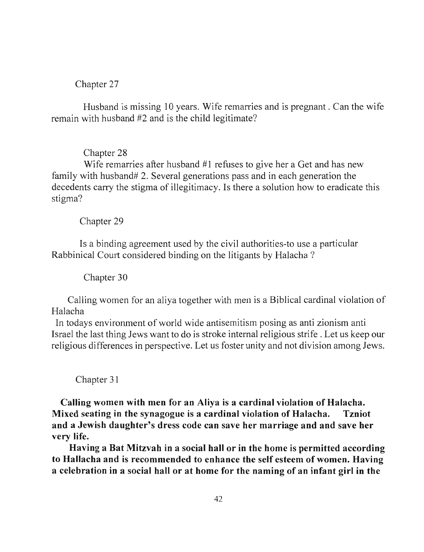## Chapter 27

Husband is missing 10 years. Wife remarries and is pregnant. Can the wife remain with husband #2 and is the child legitimate?

## Chapter 28

Wife remarries after husband  $#1$  refuses to give her a Get and has new family with husband# 2. Several generations pass and in each generation the decedents carry the stigma of illegitimacy. Is there a solution how to eradicate this stigma?

## Chapter 29

Is a binding agreement used by the civil authorities-to use a particular Rabbinical Court considered binding on the litigants by Halacha ?

Chapter 30

Calling women for an aliya together with men is a Biblical cardinal violation of Halacha

In todays environment of world wide antisemitism posing as anti zionism anti Israel the last thing Jews want to do is stroke internal religious strife. Let us keep our religious differences in perspective. Let us foster unity and not division among Jews.

## Chapter 31

Calling women with men for an Aliya is a cardinal violation of Halacha. Mixed seating in the synagogue is a cardinal violation of Halacha. Tzniot and a Jewish daughter's dress code can save her marriage and and save her very life.

Having a Bat Mitzvah in a social hall or in the home is permitted according to Hallacha and is recommended to enhance the self esteem of women. Having a celebration in a social hall or at home for the naming of an infant girl in the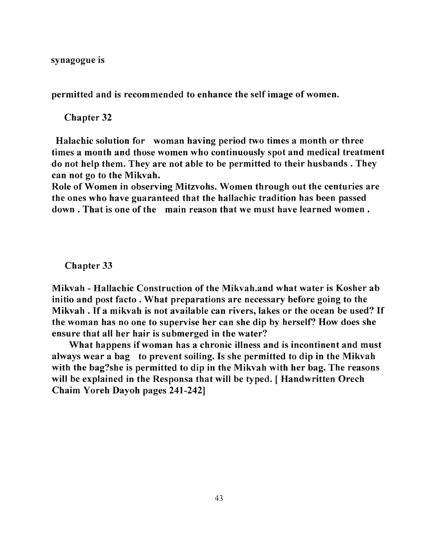synagogue is

permitted and is recommended to enhance the self image of women.

Chapter 32

Halachic solution for woman having period two times a month or three times a month and those women who continuously spot and medical treatment do not help them. They are not able to be permitted to their husbands. They can not go to the Mikvah.

Role of Women in observing Mitzvohs. Women through out the centuries are the ones who have guaranteed that the hallachic tradition has been passed down. That is one of the main reason that we must have learned women.

Chapter 33

Mikvah - Hallachic Construction of the Mikvah.and what water is Kosher ab initio and post facto. What preparations are necessary before going to the Mikvah . If a mikvah is not available can rivers, lakes or the ocean be used? If the woman has no one to supervise her can she dip by herself? How does she ensure that all her hair is submerged in the water?

What happens if woman has a chronic illness and is incontinent and must always wear a bag to prevent soiling. Is she permitted to dip in the Mikvah with the bag?she is permitted to dip in the Mikvah with her bag. The reasons will be explained in the Responsa that will be typed. [Handwritten Orech Chaim Yoreh Dayoh pages 241-242]